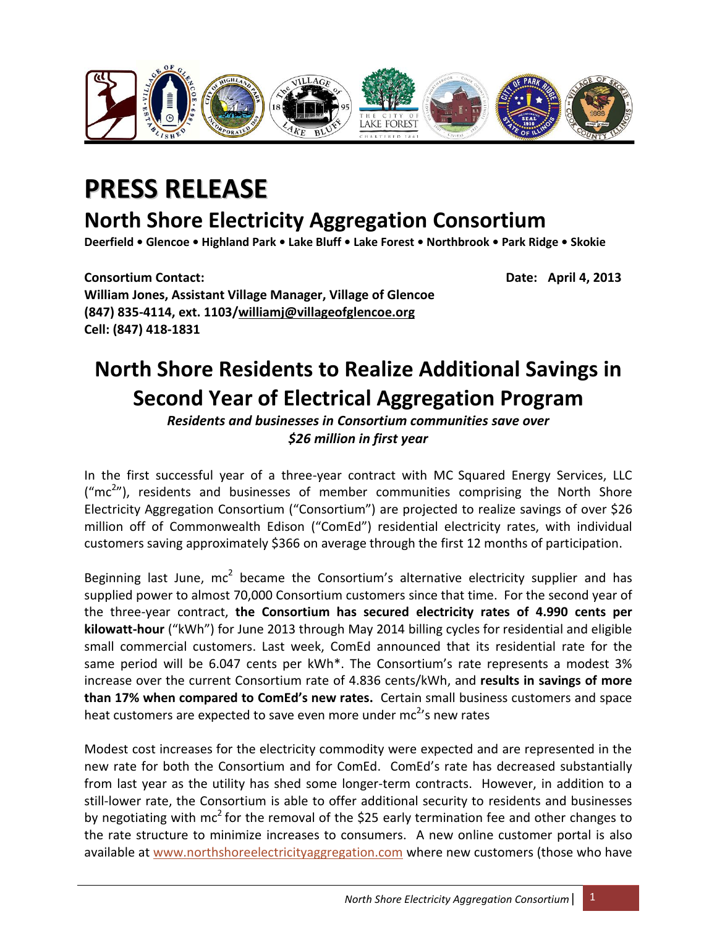

## **PRESS RELEASE**

## **North Shore Electricity Aggregation Consortium**

**Deerfield • Glencoe • Highland Park • Lake Bluff • Lake Forest • Northbrook • Park Ridge • Skokie**

**Consortium Contact: Date: April 4, 2013 William Jones, Assistant Village Manager, Village of Glencoe (847) 835-4114, ext. 1103[/williamj@villageofglencoe.org](mailto:williamj@villageofglencoe.org) Cell: (847) 418-1831**

## **North Shore Residents to Realize Additional Savings in Second Year of Electrical Aggregation Program**

*Residents and businesses in Consortium communities save over \$26 million in first year*

In the first successful year of a three-year contract with MC Squared Energy Services, LLC  $("mc<sup>2</sup>")$ , residents and businesses of member communities comprising the North Shore Electricity Aggregation Consortium ("Consortium") are projected to realize savings of over \$26 million off of Commonwealth Edison ("ComEd") residential electricity rates, with individual customers saving approximately \$366 on average through the first 12 months of participation.

Beginning last June,  $mc^2$  became the Consortium's alternative electricity supplier and has supplied power to almost 70,000 Consortium customers since that time. For the second year of the three-year contract, **the Consortium has secured electricity rates of 4.990 cents per kilowatt-hour** ("kWh") for June 2013 through May 2014 billing cycles for residential and eligible small commercial customers. Last week, ComEd announced that its residential rate for the same period will be 6.047 cents per kWh\*. The Consortium's rate represents a modest 3% increase over the current Consortium rate of 4.836 cents/kWh, and **results in savings of more than 17% when compared to ComEd's new rates.** Certain small business customers and space heat customers are expected to save even more under mc<sup>2</sup>'s new rates

Modest cost increases for the electricity commodity were expected and are represented in the new rate for both the Consortium and for ComEd. ComEd's rate has decreased substantially from last year as the utility has shed some longer-term contracts. However, in addition to a still-lower rate, the Consortium is able to offer additional security to residents and businesses by negotiating with mc<sup>2</sup> for the removal of the \$25 early termination fee and other changes to the rate structure to minimize increases to consumers. A new online customer portal is also available at [www.northshoreelectricityaggregation.com](http://www.northshoreelectricityaggregation.com/) where new customers (those who have